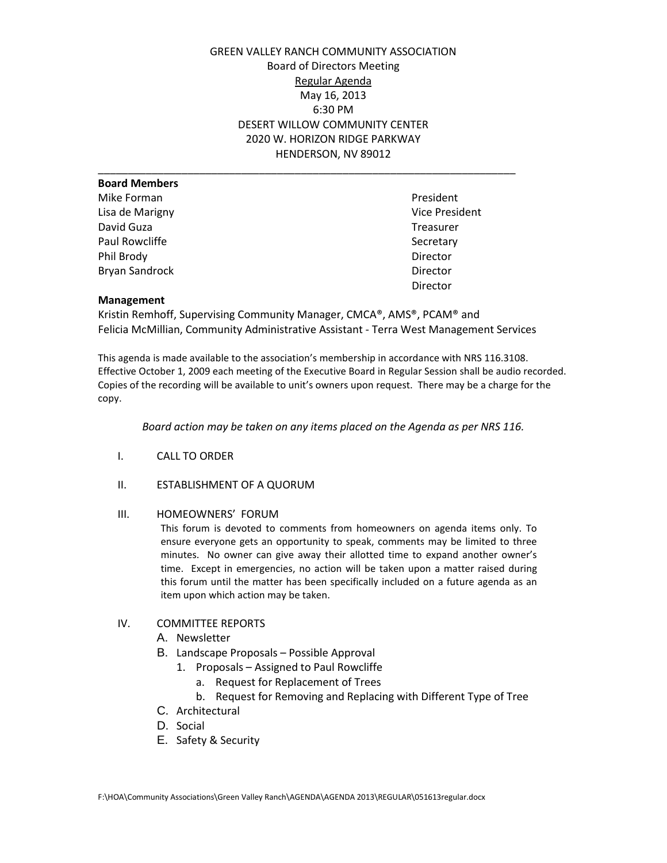GREEN VALLEY RANCH COMMUNITY ASSOCIATION Board of Directors Meeting Regular Agenda May 16, 2013 6:30 PM DESERT WILLOW COMMUNITY CENTER 2020 W. HORIZON RIDGE PARKWAY HENDERSON, NV 89012

| <b>Board Members</b> |                |
|----------------------|----------------|
| Mike Forman          | President      |
| Lisa de Marigny      | Vice President |
| David Guza           | Treasurer      |
| Paul Rowcliffe       | Secretary      |
| Phil Brody           | Director       |
| Bryan Sandrock       | Director       |
|                      | Director       |
|                      |                |

### **Management**

Kristin Remhoff, Supervising Community Manager, CMCA®, AMS®, PCAM® and Felicia McMillian, Community Administrative Assistant - Terra West Management Services

This agenda is made available to the association's membership in accordance with NRS 116.3108. Effective October 1, 2009 each meeting of the Executive Board in Regular Session shall be audio recorded. Copies of the recording will be available to unit's owners upon request. There may be a charge for the copy.

*Board action may be taken on any items placed on the Agenda as per NRS 116.*

- I. CALL TO ORDER
- II. ESTABLISHMENT OF A QUORUM

#### III. HOMEOWNERS' FORUM

This forum is devoted to comments from homeowners on agenda items only. To ensure everyone gets an opportunity to speak, comments may be limited to three minutes. No owner can give away their allotted time to expand another owner's time. Except in emergencies, no action will be taken upon a matter raised during this forum until the matter has been specifically included on a future agenda as an item upon which action may be taken.

## IV. COMMITTEE REPORTS

- A. Newsletter
- B. Landscape Proposals Possible Approval
	- 1. Proposals Assigned to Paul Rowcliffe
		- a. Request for Replacement of Trees
		- b. Request for Removing and Replacing with Different Type of Tree
- C. Architectural
- D. Social
- E. Safety & Security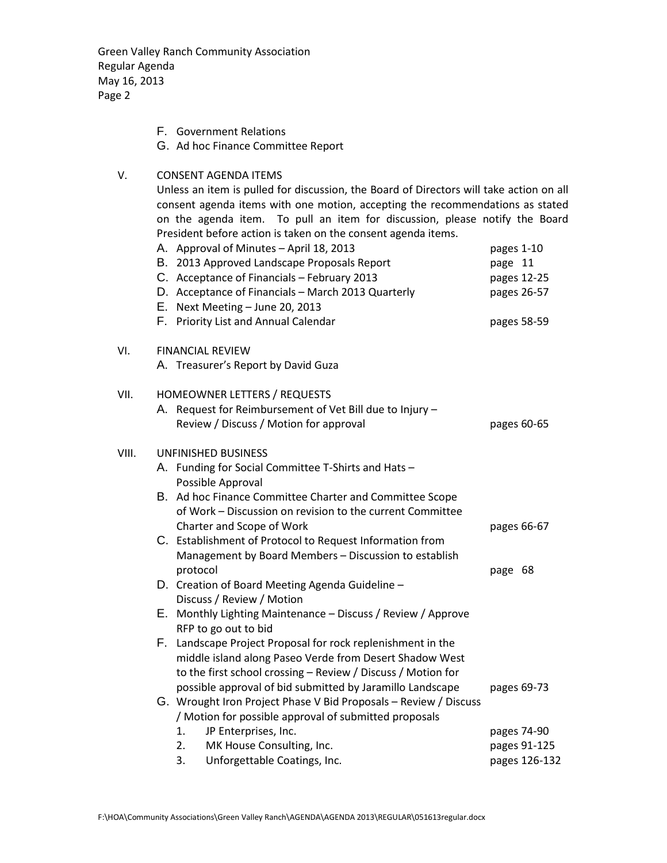Green Valley Ranch Community Association Regular Agenda May 16, 2013 Page 2

- F. Government Relations
- G. Ad hoc Finance Committee Report

# V. CONSENT AGENDA ITEMS

VIII.

Unless an item is pulled for discussion, the Board of Directors will take action on all consent agenda items with one motion, accepting the recommendations as stated on the agenda item. To pull an item for discussion, please notify the Board President before action is taken on the consent agenda items.

|       | A. Approval of Minutes - April 18, 2013<br>B. 2013 Approved Landscape Proposals Report<br>C. Acceptance of Financials - February 2013<br>D. Acceptance of Financials - March 2013 Quarterly<br>E. Next Meeting - June 20, 2013 | pages 1-10<br>page 11<br>pages 12-25<br>pages 26-57 |
|-------|--------------------------------------------------------------------------------------------------------------------------------------------------------------------------------------------------------------------------------|-----------------------------------------------------|
|       | F. Priority List and Annual Calendar                                                                                                                                                                                           | pages 58-59                                         |
| VI.   | <b>FINANCIAL REVIEW</b>                                                                                                                                                                                                        |                                                     |
|       | A. Treasurer's Report by David Guza                                                                                                                                                                                            |                                                     |
| VII.  | HOMEOWNER LETTERS / REQUESTS                                                                                                                                                                                                   |                                                     |
|       | A. Request for Reimbursement of Vet Bill due to Injury -                                                                                                                                                                       |                                                     |
|       | Review / Discuss / Motion for approval                                                                                                                                                                                         | pages 60-65                                         |
| VIII. | UNFINISHED BUSINESS                                                                                                                                                                                                            |                                                     |
|       | A. Funding for Social Committee T-Shirts and Hats -                                                                                                                                                                            |                                                     |
|       | Possible Approval                                                                                                                                                                                                              |                                                     |
|       | B. Ad hoc Finance Committee Charter and Committee Scope                                                                                                                                                                        |                                                     |
|       | of Work - Discussion on revision to the current Committee                                                                                                                                                                      |                                                     |
|       | Charter and Scope of Work                                                                                                                                                                                                      | pages 66-67                                         |
|       | C. Establishment of Protocol to Request Information from                                                                                                                                                                       |                                                     |
|       | Management by Board Members - Discussion to establish                                                                                                                                                                          |                                                     |
|       | protocol                                                                                                                                                                                                                       | page 68                                             |
|       | D. Creation of Board Meeting Agenda Guideline -                                                                                                                                                                                |                                                     |
|       | Discuss / Review / Motion                                                                                                                                                                                                      |                                                     |
|       | E. Monthly Lighting Maintenance - Discuss / Review / Approve                                                                                                                                                                   |                                                     |
|       | RFP to go out to bid                                                                                                                                                                                                           |                                                     |
|       | F. Landscape Project Proposal for rock replenishment in the                                                                                                                                                                    |                                                     |
|       | middle island along Paseo Verde from Desert Shadow West                                                                                                                                                                        |                                                     |
|       | to the first school crossing - Review / Discuss / Motion for                                                                                                                                                                   |                                                     |
|       | possible approval of bid submitted by Jaramillo Landscape                                                                                                                                                                      | pages 69-73                                         |
|       | G. Wrought Iron Project Phase V Bid Proposals - Review / Discuss                                                                                                                                                               |                                                     |
|       | / Motion for possible approval of submitted proposals                                                                                                                                                                          |                                                     |
|       | JP Enterprises, Inc.<br>1.                                                                                                                                                                                                     | pages 74-90                                         |
|       | MK House Consulting, Inc.<br>2.                                                                                                                                                                                                | pages 91-125                                        |
|       | Unforgettable Coatings, Inc.<br>3.                                                                                                                                                                                             | pages 126-132                                       |